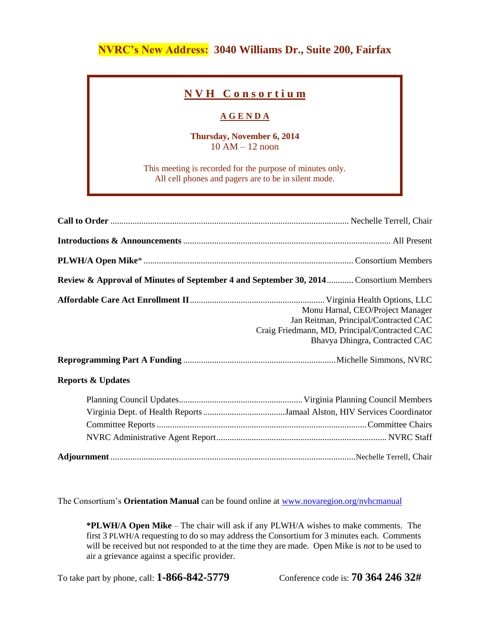## **NVRC's New Address: 3040 Williams Dr., Suite 200, Fairfax**

## **N V H C o n s o r t i u m**

## **A G E N D A**

**Thursday, November 6, 2014** 10 AM – 12 noon

This meeting is recorded for the purpose of minutes only. All cell phones and pagers are to be in silent mode.

| Review & Approval of Minutes of September 4 and September 30, 2014 Consortium Members |                                                                                                                                                              |
|---------------------------------------------------------------------------------------|--------------------------------------------------------------------------------------------------------------------------------------------------------------|
|                                                                                       | Monu Harnal, CEO/Project Manager<br>Jan Reitman, Principal/Contracted CAC<br>Craig Friedmann, MD, Principal/Contracted CAC<br>Bhavya Dhingra, Contracted CAC |
| <b>Reports &amp; Updates</b>                                                          |                                                                                                                                                              |
|                                                                                       |                                                                                                                                                              |
|                                                                                       |                                                                                                                                                              |

The Consortium's **Orientation Manual** can be found online at [www.novaregion.org/nvhcmanual](http://www.novaregion.org/nvhcmanual)

**\*PLWH/A Open Mike** – The chair will ask if any PLWH/A wishes to make comments. The first 3 PLWH/A requesting to do so may address the Consortium for 3 minutes each. Comments will be received but not responded to at the time they are made. Open Mike is *not* to be used to air a grievance against a specific provider.

To take part by phone, call: **1-866-842-5779** Conference code is: **70 364 246 32#**